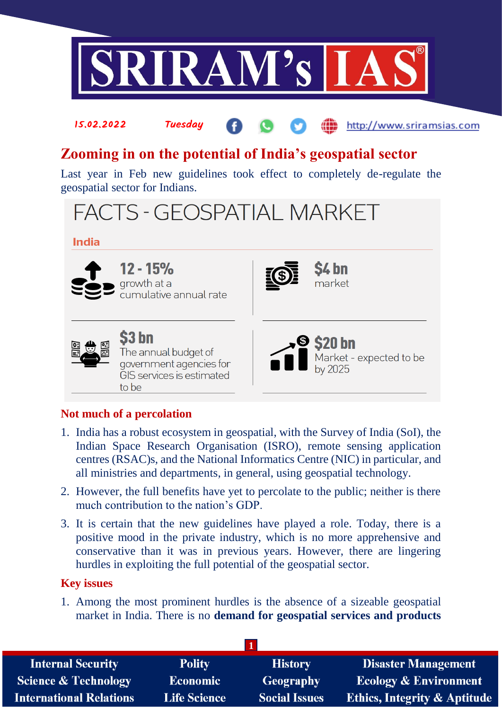

# **Zooming in on the potential of India's geospatial sector**

Last year in Feb new guidelines took effect to completely de-regulate the geospatial sector for Indians.



### **India**



12 - 15% growth at a cumulative annual rate

15.02.2022 Tuesday





S3 bn The annual budget of government agencies for GIS services is estimated to be



http://www.sriramsias.com

## **Not much of a percolation**

- 1. India has a robust ecosystem in geospatial, with the Survey of India (SoI), the Indian Space Research Organisation (ISRO), remote sensing application centres (RSAC)s, and the National Informatics Centre (NIC) in particular, and all ministries and departments, in general, using geospatial technology.
- 2. However, the full benefits have yet to percolate to the public; neither is there much contribution to the nation's GDP.
- 3. It is certain that the new guidelines have played a role. Today, there is a positive mood in the private industry, which is no more apprehensive and conservative than it was in previous years. However, there are lingering hurdles in exploiting the full potential of the geospatial sector.

## **Key issues**

1. Among the most prominent hurdles is the absence of a sizeable geospatial market in India. There is no **demand for geospatial services and products**

| <b>Internal Security</b>        | <b>Polity</b>       | <b>History</b>       | <b>Disaster Management</b>              |
|---------------------------------|---------------------|----------------------|-----------------------------------------|
| <b>Science &amp; Technology</b> | <b>Economic</b>     | <b>Geography</b>     | <b>Ecology &amp; Environment</b>        |
| <b>International Relations</b>  | <b>Life Science</b> | <b>Social Issues</b> | <b>Ethics, Integrity &amp; Aptitude</b> |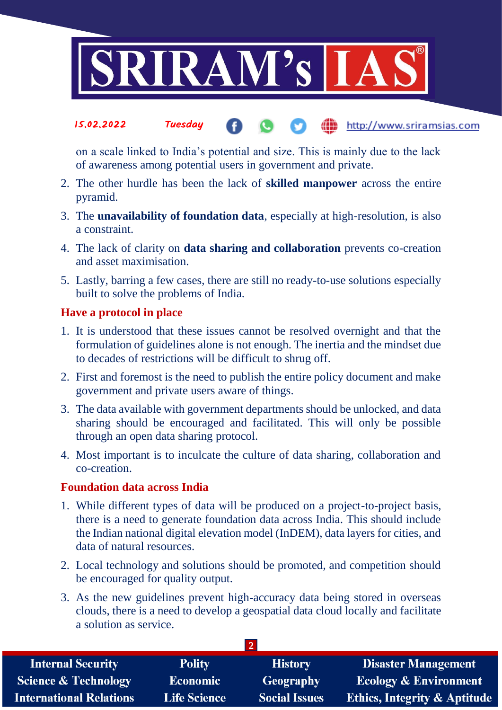

### 15.02.2022 Tuesday (iii) http://www.sriramsias.com

on a scale linked to India's potential and size. This is mainly due to the lack of awareness among potential users in government and private.

- 2. The other hurdle has been the lack of **skilled manpower** across the entire pyramid.
- 3. The **unavailability of foundation data**, especially at high-resolution, is also a constraint.
- 4. The lack of clarity on **data sharing and collaboration** prevents co-creation and asset maximisation.
- 5. Lastly, barring a few cases, there are still no ready-to-use solutions especially built to solve the problems of India.

### **Have a protocol in place**

- 1. It is understood that these issues cannot be resolved overnight and that the formulation of guidelines alone is not enough. The inertia and the mindset due to decades of restrictions will be difficult to shrug off.
- 2. First and foremost is the need to publish the entire policy document and make government and private users aware of things.
- 3. The data available with government departments should be unlocked, and data sharing should be encouraged and facilitated. This will only be possible through an open data sharing protocol.
- 4. Most important is to inculcate the culture of data sharing, collaboration and co-creation.

### **Foundation data across India**

- 1. While different types of data will be produced on a project-to-project basis, there is a need to generate foundation data across India. This should include the Indian national digital elevation model (InDEM), data layers for cities, and data of natural resources.
- 2. Local technology and solutions should be promoted, and competition should be encouraged for quality output.
- 3. As the new guidelines prevent high-accuracy data being stored in overseas clouds, there is a need to develop a geospatial data cloud locally and facilitate a solution as service.

| <b>Internal Security</b>        | <b>Polity</b>       | <b>History</b>       | <b>Disaster Management</b>              |
|---------------------------------|---------------------|----------------------|-----------------------------------------|
| <b>Science &amp; Technology</b> | <b>Economic</b>     | Geography            | <b>Ecology &amp; Environment</b>        |
| <b>International Relations</b>  | <b>Life Science</b> | <b>Social Issues</b> | <b>Ethics, Integrity &amp; Aptitude</b> |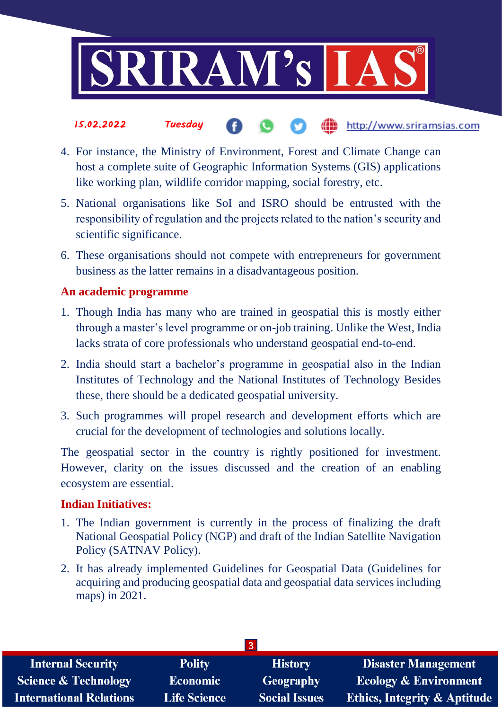

### 15.02.2022 Tuesday the http://www.sriramsias.com

- 4. For instance, the Ministry of Environment, Forest and Climate Change can host a complete suite of Geographic Information Systems (GIS) applications like working plan, wildlife corridor mapping, social forestry, etc.
- 5. National organisations like SoI and ISRO should be entrusted with the responsibility of regulation and the projects related to the nation's security and scientific significance.
- 6. These organisations should not compete with entrepreneurs for government business as the latter remains in a disadvantageous position.

## **An academic programme**

- 1. Though India has many who are trained in geospatial this is mostly either through a master's level programme or on-job training. Unlike the West, India lacks strata of core professionals who understand geospatial end-to-end.
- 2. India should start a bachelor's programme in geospatial also in the Indian Institutes of Technology and the National Institutes of Technology Besides these, there should be a dedicated geospatial university.
- 3. Such programmes will propel research and development efforts which are crucial for the development of technologies and solutions locally.

The geospatial sector in the country is rightly positioned for investment. However, clarity on the issues discussed and the creation of an enabling ecosystem are essential.

## **Indian Initiatives:**

- 1. The Indian government is currently in the process of finalizing the draft National Geospatial Policy (NGP) and draft of the Indian Satellite Navigation Policy (SATNAV Policy).
- 2. It has already implemented Guidelines for Geospatial Data (Guidelines for acquiring and producing geospatial data and geospatial data services including maps) in 2021.

| <b>Internal Security</b>        | <b>Polity</b>       | <b>History</b>       | <b>Disaster Management</b>              |
|---------------------------------|---------------------|----------------------|-----------------------------------------|
| <b>Science &amp; Technology</b> | <b>Economic</b>     | Geography            | <b>Ecology &amp; Environment</b>        |
| <b>International Relations</b>  | <b>Life Science</b> | <b>Social Issues</b> | <b>Ethics, Integrity &amp; Aptitude</b> |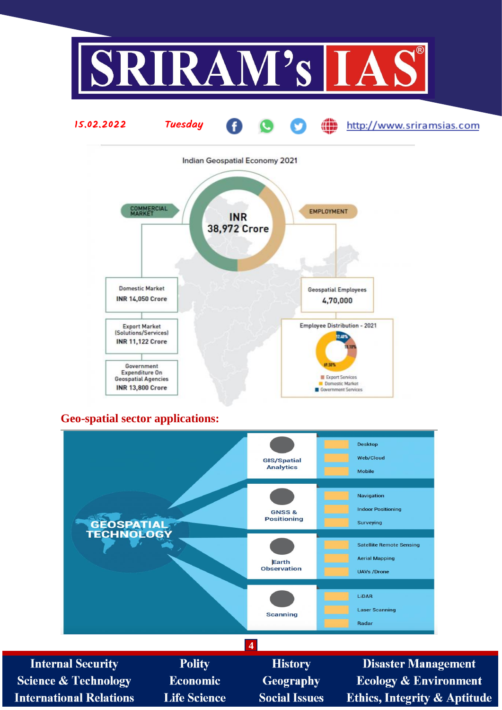



## **Geo-spatial sector applications:**



**Internal Security Polity History Disaster Management Science & Technology** Economic **Geography Ecology & Environment Life Science Social Issues Ethics, Integrity & Aptitude International Relations**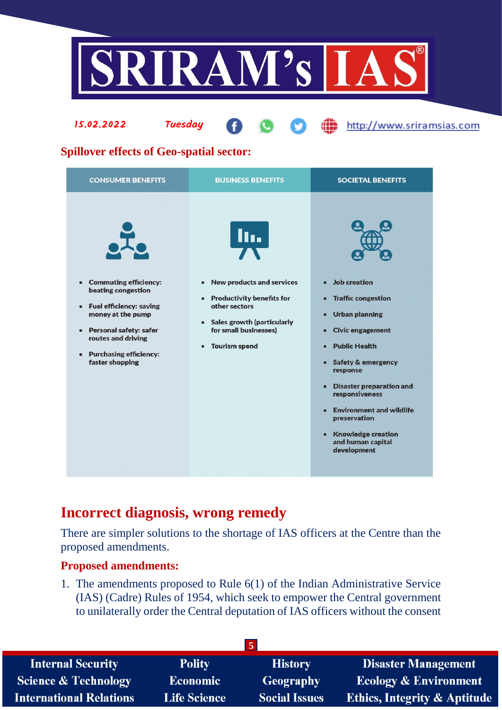



## **Spillover effects of Geo-spatial sector:**

| III.<br>• Commuting efficiency:<br><b>New products and services</b><br>• Job creation<br>$\bullet$<br>beating congestion<br>• Productivity benefits for<br>• Traffic congestion<br>other sectors<br>• Fuel efficiency: saving<br>money at the pump<br>• Urban planning<br>• Sales growth (particularly<br>for small businesses)<br>• Personal safety: safer<br>• Civic engagement<br>routes and driving<br><b>Public Health</b><br><b>Tourism spend</b><br>$\bullet$<br>$\bullet$<br>• Purchasing efficiency:<br>faster shopping<br>• Safety & emergency<br>response<br>• Disaster preparation and<br>responsiveness<br>• Environment and wildlife<br>preservation<br>• Knowledge creation<br>and human capital<br>development | <b>CONSUMER BENEFITS</b> | <b>BUSINESS BENEFITS</b> | <b>SOCIETAL BENEFITS</b> |
|--------------------------------------------------------------------------------------------------------------------------------------------------------------------------------------------------------------------------------------------------------------------------------------------------------------------------------------------------------------------------------------------------------------------------------------------------------------------------------------------------------------------------------------------------------------------------------------------------------------------------------------------------------------------------------------------------------------------------------|--------------------------|--------------------------|--------------------------|
|                                                                                                                                                                                                                                                                                                                                                                                                                                                                                                                                                                                                                                                                                                                                |                          |                          |                          |

## **Incorrect diagnosis, wrong remedy**

There are simpler solutions to the shortage of IAS officers at the Centre than the proposed amendments.

### **Proposed amendments:**

1. The amendments proposed to Rule 6(1) of the Indian Administrative Service (IAS) (Cadre) Rules of 1954, which seek to empower the Central government to unilaterally order the Central deputation of IAS officers without the consent

| <b>Polity</b>       | <b>History</b>       | <b>Disaster Management</b>              |  |
|---------------------|----------------------|-----------------------------------------|--|
| Economic            | <b>Geography</b>     | Ecology & Environment                   |  |
| <b>Life Science</b> | <b>Social Issues</b> | <b>Ethics, Integrity &amp; Aptitude</b> |  |
|                     |                      |                                         |  |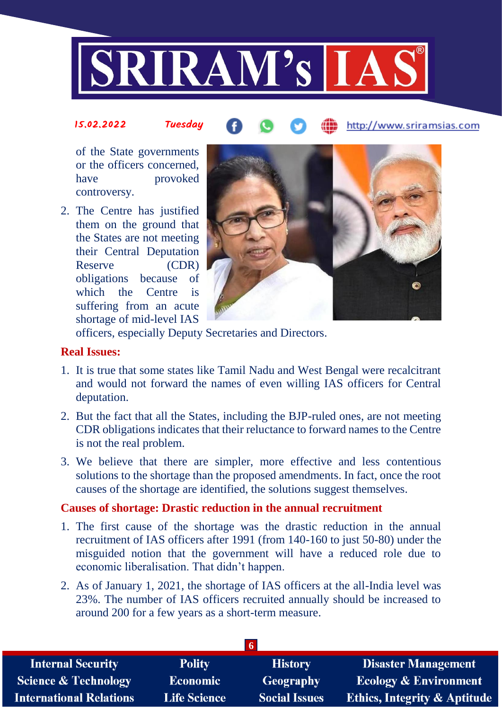

#### 15.02.2022 Tuesday http://www.sriramsias.com

of the State governments or the officers concerned, have provoked controversy.

2. The Centre has justified them on the ground that the States are not meeting their Central Deputation Reserve (CDR) obligations because of which the Centre is suffering from an acute shortage of mid-level IAS



officers, especially Deputy Secretaries and Directors.

### **Real Issues:**

- 1. It is true that some states like Tamil Nadu and West Bengal were recalcitrant and would not forward the names of even willing IAS officers for Central deputation.
- 2. But the fact that all the States, including the BJP-ruled ones, are not meeting CDR obligations indicates that their reluctance to forward names to the Centre is not the real problem.
- 3. We believe that there are simpler, more effective and less contentious solutions to the shortage than the proposed amendments. In fact, once the root causes of the shortage are identified, the solutions suggest themselves.

### **Causes of shortage: Drastic reduction in the annual recruitment**

- 1. The first cause of the shortage was the drastic reduction in the annual recruitment of IAS officers after 1991 (from 140-160 to just 50-80) under the misguided notion that the government will have a reduced role due to economic liberalisation. That didn't happen.
- 2. As of January 1, 2021, the shortage of IAS officers at the all-India level was 23%. The number of IAS officers recruited annually should be increased to around 200 for a few years as a short-term measure.

| -6                  |                      |                                         |  |  |
|---------------------|----------------------|-----------------------------------------|--|--|
| <b>Polity</b>       | <b>History</b>       | <b>Disaster Management</b>              |  |  |
| Economic            | <b>Geography</b>     | <b>Ecology &amp; Environment</b>        |  |  |
| <b>Life Science</b> | <b>Social Issues</b> | <b>Ethics, Integrity &amp; Aptitude</b> |  |  |
|                     |                      |                                         |  |  |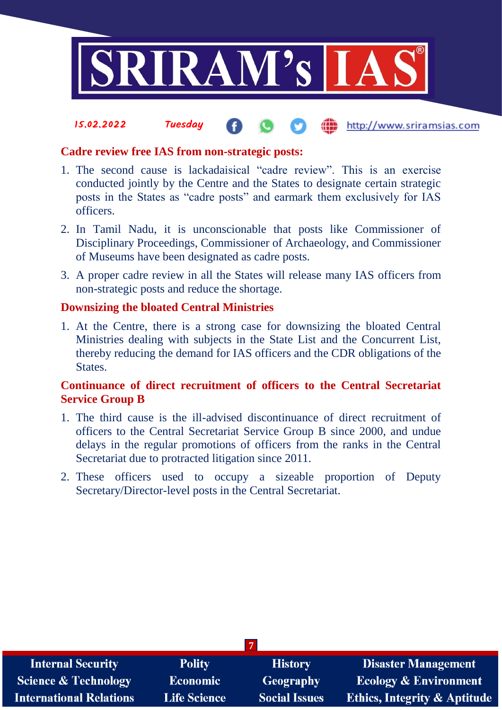

(iii) http://www.sriramsias.com

### **Cadre review free IAS from non-strategic posts:**

15.02.2022 Tuesday

- 1. The second cause is lackadaisical "cadre review". This is an exercise conducted jointly by the Centre and the States to designate certain strategic posts in the States as "cadre posts" and earmark them exclusively for IAS officers.
- 2. In Tamil Nadu, it is unconscionable that posts like Commissioner of Disciplinary Proceedings, Commissioner of Archaeology, and Commissioner of Museums have been designated as cadre posts.
- 3. A proper cadre review in all the States will release many IAS officers from non-strategic posts and reduce the shortage.

### **Downsizing the bloated Central Ministries**

1. At the Centre, there is a strong case for downsizing the bloated Central Ministries dealing with subjects in the State List and the Concurrent List, thereby reducing the demand for IAS officers and the CDR obligations of the States.

### **Continuance of direct recruitment of officers to the Central Secretariat Service Group B**

- 1. The third cause is the ill-advised discontinuance of direct recruitment of officers to the Central Secretariat Service Group B since 2000, and undue delays in the regular promotions of officers from the ranks in the Central Secretariat due to protracted litigation since 2011.
- 2. These officers used to occupy a sizeable proportion of Deputy Secretary/Director-level posts in the Central Secretariat.

| <b>Internal Security</b>        | <b>Polity</b>       | <b>History</b>       | <b>Disaster Management</b>              |
|---------------------------------|---------------------|----------------------|-----------------------------------------|
| <b>Science &amp; Technology</b> | <b>Economic</b>     | Geography            | <b>Ecology &amp; Environment</b>        |
| <b>International Relations</b>  | <b>Life Science</b> | <b>Social Issues</b> | <b>Ethics, Integrity &amp; Aptitude</b> |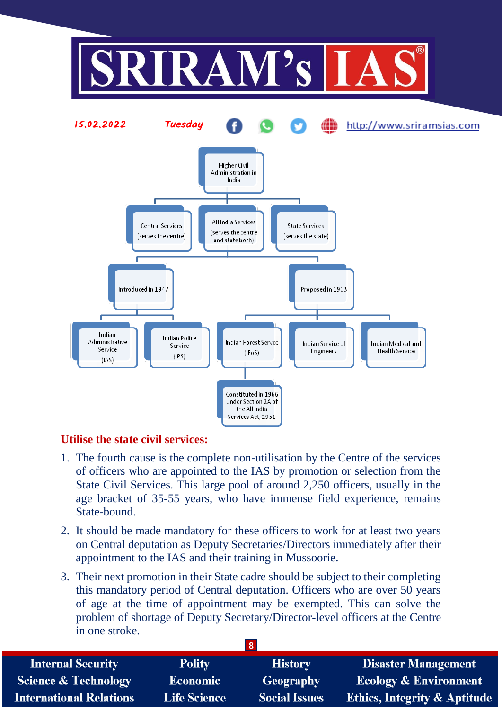

## **Utilise the state civil services:**

- 1. The fourth cause is the complete non-utilisation by the Centre of the services of officers who are appointed to the IAS by promotion or selection from the State Civil Services. This large pool of around 2,250 officers, usually in the age bracket of 35-55 years, who have immense field experience, remains State-bound.
- 2. It should be made mandatory for these officers to work for at least two years on Central deputation as Deputy Secretaries/Directors immediately after their appointment to the IAS and their training in Mussoorie.
- 3. Their next promotion in their State cadre should be subject to their completing this mandatory period of Central deputation. Officers who are over 50 years of age at the time of appointment may be exempted. This can solve the problem of shortage of Deputy Secretary/Director-level officers at the Centre in one stroke.

|                                 |                     | .                    |                                         |
|---------------------------------|---------------------|----------------------|-----------------------------------------|
| <b>Internal Security</b>        | <b>Polity</b>       | <b>History</b>       | <b>Disaster Management</b>              |
| <b>Science &amp; Technology</b> | <b>Economic</b>     | Geography            | <b>Ecology &amp; Environment</b>        |
| <b>International Relations</b>  | <b>Life Science</b> | <b>Social Issues</b> | <b>Ethics, Integrity &amp; Aptitude</b> |

**8**